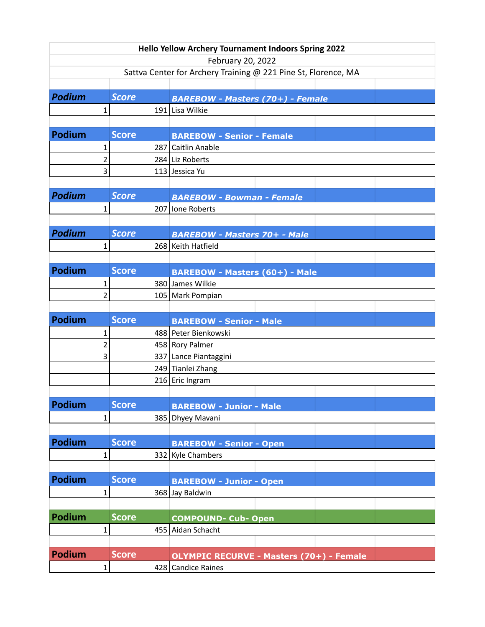|                                |                                             |                              | <b>Hello Yellow Archery Tournament Indoors Spring 2022</b>                                                                                                                    |  |  |  |
|--------------------------------|---------------------------------------------|------------------------------|-------------------------------------------------------------------------------------------------------------------------------------------------------------------------------|--|--|--|
|                                | February 20, 2022                           |                              |                                                                                                                                                                               |  |  |  |
|                                |                                             |                              | Sattva Center for Archery Training @ 221 Pine St, Florence, MA                                                                                                                |  |  |  |
|                                |                                             |                              |                                                                                                                                                                               |  |  |  |
| <b>Podium</b>                  |                                             | <b>Score</b>                 | <b>BAREBOW - Masters (70+) - Female</b>                                                                                                                                       |  |  |  |
|                                | $\mathbf{1}$                                |                              | 191 Lisa Wilkie                                                                                                                                                               |  |  |  |
|                                |                                             |                              |                                                                                                                                                                               |  |  |  |
| <b>Podium</b>                  |                                             | <b>Score</b>                 | <b>BAREBOW - Senior - Female</b>                                                                                                                                              |  |  |  |
|                                | 1                                           |                              | 287 Caitlin Anable                                                                                                                                                            |  |  |  |
|                                | $\overline{2}$<br>$\overline{3}$            |                              | 284 Liz Roberts                                                                                                                                                               |  |  |  |
|                                |                                             |                              | 113 Jessica Yu                                                                                                                                                                |  |  |  |
| <b>Podium</b>                  |                                             | <b>Score</b>                 |                                                                                                                                                                               |  |  |  |
|                                | $\mathbf{1}$                                |                              | <b>BAREBOW - Bowman - Female</b>                                                                                                                                              |  |  |  |
|                                |                                             |                              | 207 Ione Roberts                                                                                                                                                              |  |  |  |
| <b>Podium</b>                  |                                             | <b>Score</b>                 |                                                                                                                                                                               |  |  |  |
|                                | $\mathbf{1}$                                |                              | <b>BAREBOW - Masters 70+ - Male</b><br>268 Keith Hatfield                                                                                                                     |  |  |  |
|                                |                                             |                              |                                                                                                                                                                               |  |  |  |
| <b>Podium</b>                  |                                             | <b>Score</b>                 |                                                                                                                                                                               |  |  |  |
|                                |                                             |                              | <b>BAREBOW - Masters (60+) - Male</b>                                                                                                                                         |  |  |  |
|                                | $\mathbf{1}$<br>$\overline{2}$              |                              | 380 James Wilkie                                                                                                                                                              |  |  |  |
|                                |                                             |                              | 105 Mark Pompian                                                                                                                                                              |  |  |  |
| <b>Podium</b>                  |                                             | <b>Score</b>                 |                                                                                                                                                                               |  |  |  |
|                                | 1                                           |                              | <b>BAREBOW - Senior - Male</b><br>488 Peter Bienkowski                                                                                                                        |  |  |  |
|                                | $\overline{2}$                              |                              | 458 Rory Palmer                                                                                                                                                               |  |  |  |
|                                | 3                                           |                              | 337 Lance Piantaggini                                                                                                                                                         |  |  |  |
|                                |                                             |                              | 249 Tianlei Zhang                                                                                                                                                             |  |  |  |
|                                |                                             |                              | 216 Eric Ingram                                                                                                                                                               |  |  |  |
|                                |                                             |                              |                                                                                                                                                                               |  |  |  |
| <b>Podium</b>                  |                                             | <b>Score</b>                 | <b>BAREBOW - Junior - Male</b>                                                                                                                                                |  |  |  |
|                                | $\mathbf{1}$                                |                              | 385 Dhyey Mavani                                                                                                                                                              |  |  |  |
|                                |                                             |                              |                                                                                                                                                                               |  |  |  |
| <b>Podium</b>                  |                                             | <b>Score</b>                 | <b>BAREBOW - Senior - Open</b>                                                                                                                                                |  |  |  |
|                                | $\mathbf{1}$                                |                              | 332 Kyle Chambers                                                                                                                                                             |  |  |  |
|                                |                                             |                              |                                                                                                                                                                               |  |  |  |
|                                |                                             |                              |                                                                                                                                                                               |  |  |  |
|                                |                                             |                              |                                                                                                                                                                               |  |  |  |
|                                |                                             |                              |                                                                                                                                                                               |  |  |  |
| Podium                         |                                             | <b>Score</b>                 |                                                                                                                                                                               |  |  |  |
|                                |                                             |                              |                                                                                                                                                                               |  |  |  |
|                                |                                             |                              |                                                                                                                                                                               |  |  |  |
|                                |                                             |                              |                                                                                                                                                                               |  |  |  |
|                                |                                             |                              |                                                                                                                                                                               |  |  |  |
| <b>Podium</b><br><b>Podium</b> | $\mathbf{1}$<br>$\mathbf{1}$<br>$\mathbf 1$ | <b>Score</b><br><b>Score</b> | <b>BAREBOW - Junior - Open</b><br>368 Jay Baldwin<br><b>COMPOUND- Cub- Open</b><br>455 Aidan Schacht<br><b>OLYMPIC RECURVE - Masters (70+) - Female</b><br>428 Candice Raines |  |  |  |